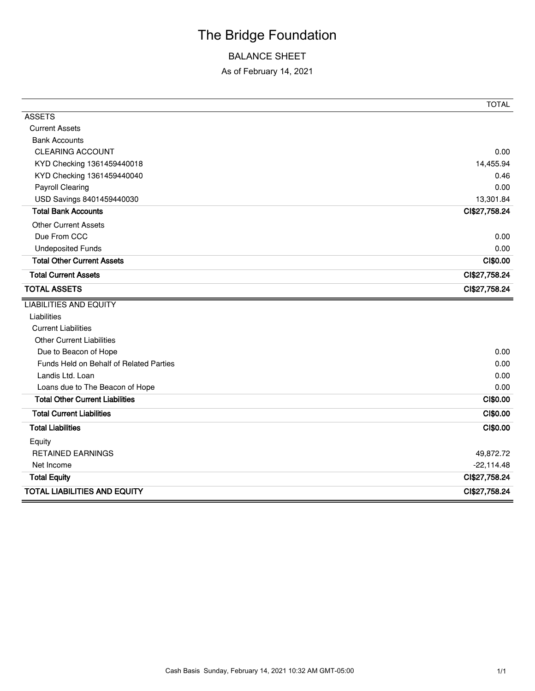#### BALANCE SHEET

As of February 14, 2021

| <b>ASSETS</b><br><b>Current Assets</b><br><b>Bank Accounts</b><br><b>CLEARING ACCOUNT</b><br>KYD Checking 1361459440018<br>KYD Checking 1361459440040<br><b>Payroll Clearing</b><br>USD Savings 8401459440030<br><b>Total Bank Accounts</b><br><b>Other Current Assets</b><br>Due From CCC<br><b>Undeposited Funds</b><br><b>Total Other Current Assets</b><br><b>Total Current Assets</b><br><b>TOTAL ASSETS</b><br><b>LIABILITIES AND EQUITY</b><br>Liabilities<br><b>Current Liabilities</b><br><b>Other Current Liabilities</b><br>Due to Beacon of Hope<br>Funds Held on Behalf of Related Parties<br>Landis Ltd. Loan | 0.00<br>14,455.94<br>0.46<br>0.00<br>13,301.84<br>CI\$27,758.24<br>0.00<br>0.00<br>CI\$0.00 |
|-----------------------------------------------------------------------------------------------------------------------------------------------------------------------------------------------------------------------------------------------------------------------------------------------------------------------------------------------------------------------------------------------------------------------------------------------------------------------------------------------------------------------------------------------------------------------------------------------------------------------------|---------------------------------------------------------------------------------------------|
|                                                                                                                                                                                                                                                                                                                                                                                                                                                                                                                                                                                                                             |                                                                                             |
|                                                                                                                                                                                                                                                                                                                                                                                                                                                                                                                                                                                                                             |                                                                                             |
|                                                                                                                                                                                                                                                                                                                                                                                                                                                                                                                                                                                                                             |                                                                                             |
|                                                                                                                                                                                                                                                                                                                                                                                                                                                                                                                                                                                                                             |                                                                                             |
|                                                                                                                                                                                                                                                                                                                                                                                                                                                                                                                                                                                                                             |                                                                                             |
|                                                                                                                                                                                                                                                                                                                                                                                                                                                                                                                                                                                                                             |                                                                                             |
|                                                                                                                                                                                                                                                                                                                                                                                                                                                                                                                                                                                                                             |                                                                                             |
|                                                                                                                                                                                                                                                                                                                                                                                                                                                                                                                                                                                                                             |                                                                                             |
|                                                                                                                                                                                                                                                                                                                                                                                                                                                                                                                                                                                                                             |                                                                                             |
|                                                                                                                                                                                                                                                                                                                                                                                                                                                                                                                                                                                                                             |                                                                                             |
|                                                                                                                                                                                                                                                                                                                                                                                                                                                                                                                                                                                                                             |                                                                                             |
|                                                                                                                                                                                                                                                                                                                                                                                                                                                                                                                                                                                                                             |                                                                                             |
|                                                                                                                                                                                                                                                                                                                                                                                                                                                                                                                                                                                                                             |                                                                                             |
|                                                                                                                                                                                                                                                                                                                                                                                                                                                                                                                                                                                                                             | CI\$27,758.24                                                                               |
|                                                                                                                                                                                                                                                                                                                                                                                                                                                                                                                                                                                                                             | CI\$27,758.24                                                                               |
|                                                                                                                                                                                                                                                                                                                                                                                                                                                                                                                                                                                                                             |                                                                                             |
|                                                                                                                                                                                                                                                                                                                                                                                                                                                                                                                                                                                                                             |                                                                                             |
|                                                                                                                                                                                                                                                                                                                                                                                                                                                                                                                                                                                                                             |                                                                                             |
|                                                                                                                                                                                                                                                                                                                                                                                                                                                                                                                                                                                                                             |                                                                                             |
|                                                                                                                                                                                                                                                                                                                                                                                                                                                                                                                                                                                                                             | 0.00                                                                                        |
|                                                                                                                                                                                                                                                                                                                                                                                                                                                                                                                                                                                                                             | 0.00                                                                                        |
|                                                                                                                                                                                                                                                                                                                                                                                                                                                                                                                                                                                                                             | 0.00                                                                                        |
| Loans due to The Beacon of Hope                                                                                                                                                                                                                                                                                                                                                                                                                                                                                                                                                                                             | 0.00                                                                                        |
| <b>Total Other Current Liabilities</b>                                                                                                                                                                                                                                                                                                                                                                                                                                                                                                                                                                                      | CI\$0.00                                                                                    |
| <b>Total Current Liabilities</b>                                                                                                                                                                                                                                                                                                                                                                                                                                                                                                                                                                                            | CI\$0.00                                                                                    |
| <b>Total Liabilities</b>                                                                                                                                                                                                                                                                                                                                                                                                                                                                                                                                                                                                    | CI\$0.00                                                                                    |
| Equity                                                                                                                                                                                                                                                                                                                                                                                                                                                                                                                                                                                                                      |                                                                                             |
| <b>RETAINED EARNINGS</b>                                                                                                                                                                                                                                                                                                                                                                                                                                                                                                                                                                                                    |                                                                                             |
| Net Income                                                                                                                                                                                                                                                                                                                                                                                                                                                                                                                                                                                                                  | 49,872.72                                                                                   |
| <b>Total Equity</b>                                                                                                                                                                                                                                                                                                                                                                                                                                                                                                                                                                                                         | $-22,114.48$                                                                                |
| <b>TOTAL LIABILITIES AND EQUITY</b><br>CI\$27,758.24                                                                                                                                                                                                                                                                                                                                                                                                                                                                                                                                                                        | CI\$27,758.24                                                                               |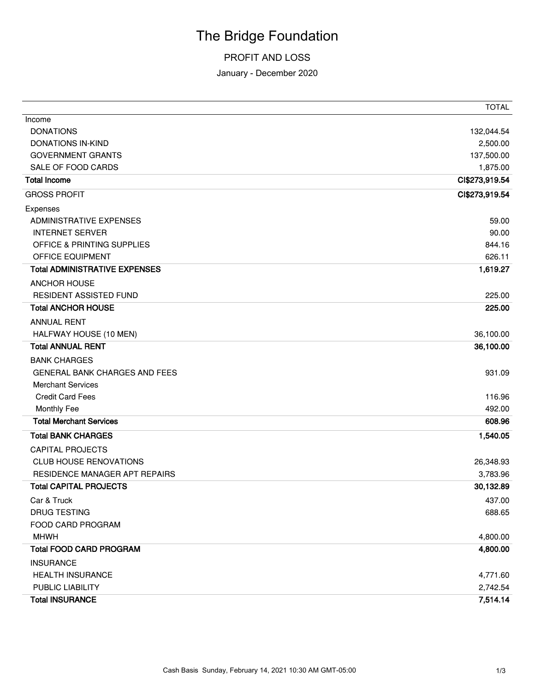#### PROFIT AND LOSS

January - December 2020

|                                       | <b>TOTAL</b>   |
|---------------------------------------|----------------|
| Income                                |                |
| <b>DONATIONS</b>                      | 132,044.54     |
| <b>DONATIONS IN-KIND</b>              | 2,500.00       |
| <b>GOVERNMENT GRANTS</b>              | 137,500.00     |
| SALE OF FOOD CARDS                    | 1,875.00       |
| <b>Total Income</b>                   | CI\$273,919.54 |
| <b>GROSS PROFIT</b>                   | CI\$273,919.54 |
| Expenses                              |                |
| ADMINISTRATIVE EXPENSES               | 59.00          |
| <b>INTERNET SERVER</b>                | 90.00          |
| <b>OFFICE &amp; PRINTING SUPPLIES</b> | 844.16         |
| <b>OFFICE EQUIPMENT</b>               | 626.11         |
| <b>Total ADMINISTRATIVE EXPENSES</b>  | 1,619.27       |
| <b>ANCHOR HOUSE</b>                   |                |
| <b>RESIDENT ASSISTED FUND</b>         | 225.00         |
| <b>Total ANCHOR HOUSE</b>             | 225.00         |
| <b>ANNUAL RENT</b>                    |                |
| HALFWAY HOUSE (10 MEN)                | 36,100.00      |
| <b>Total ANNUAL RENT</b>              | 36,100.00      |
| <b>BANK CHARGES</b>                   |                |
| <b>GENERAL BANK CHARGES AND FEES</b>  | 931.09         |
| <b>Merchant Services</b>              |                |
| <b>Credit Card Fees</b>               | 116.96         |
| Monthly Fee                           | 492.00         |
| <b>Total Merchant Services</b>        | 608.96         |
| <b>Total BANK CHARGES</b>             | 1,540.05       |
| <b>CAPITAL PROJECTS</b>               |                |
| <b>CLUB HOUSE RENOVATIONS</b>         | 26,348.93      |
| RESIDENCE MANAGER APT REPAIRS         | 3,783.96       |
| <b>Total CAPITAL PROJECTS</b>         | 30,132.89      |
| Car & Truck                           | 437.00         |
| <b>DRUG TESTING</b>                   | 688.65         |
| <b>FOOD CARD PROGRAM</b>              |                |
| <b>MHWH</b>                           | 4,800.00       |
| <b>Total FOOD CARD PROGRAM</b>        | 4,800.00       |
| <b>INSURANCE</b>                      |                |
| <b>HEALTH INSURANCE</b>               | 4,771.60       |
| PUBLIC LIABILITY                      | 2,742.54       |
| <b>Total INSURANCE</b>                | 7,514.14       |
|                                       |                |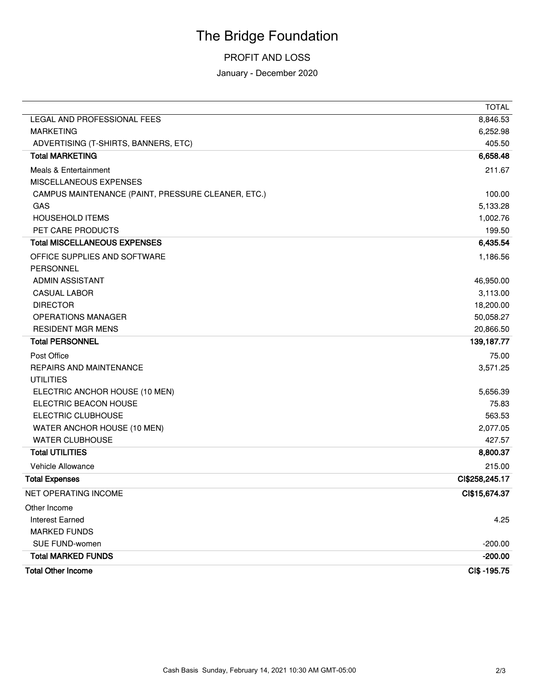#### PROFIT AND LOSS

January - December 2020

| <b>Total Other Income</b>                          | CI\$-195.75    |
|----------------------------------------------------|----------------|
| <b>Total MARKED FUNDS</b>                          | $-200.00$      |
| SUE FUND-women                                     | $-200.00$      |
| <b>MARKED FUNDS</b>                                |                |
| <b>Interest Earned</b>                             | 4.25           |
| Other Income                                       |                |
| NET OPERATING INCOME                               | CI\$15,674.37  |
| <b>Total Expenses</b>                              | CI\$258,245.17 |
| Vehicle Allowance                                  | 215.00         |
| <b>Total UTILITIES</b>                             | 8,800.37       |
| <b>WATER CLUBHOUSE</b>                             | 427.57         |
| WATER ANCHOR HOUSE (10 MEN)                        | 2,077.05       |
| ELECTRIC CLUBHOUSE                                 | 563.53         |
| ELECTRIC BEACON HOUSE                              | 75.83          |
| ELECTRIC ANCHOR HOUSE (10 MEN)                     | 5,656.39       |
| <b>UTILITIES</b>                                   |                |
| REPAIRS AND MAINTENANCE                            | 3,571.25       |
| Post Office                                        | 75.00          |
| <b>Total PERSONNEL</b>                             | 139,187.77     |
| <b>RESIDENT MGR MENS</b>                           | 20,866.50      |
| <b>OPERATIONS MANAGER</b>                          | 50,058.27      |
| <b>DIRECTOR</b>                                    | 18,200.00      |
| <b>CASUAL LABOR</b>                                | 3,113.00       |
| <b>ADMIN ASSISTANT</b>                             | 46,950.00      |
| <b>PERSONNEL</b>                                   |                |
| OFFICE SUPPLIES AND SOFTWARE                       | 1,186.56       |
| <b>Total MISCELLANEOUS EXPENSES</b>                | 6,435.54       |
| PET CARE PRODUCTS                                  | 199.50         |
| <b>HOUSEHOLD ITEMS</b>                             | 1,002.76       |
| GAS                                                | 5,133.28       |
| CAMPUS MAINTENANCE (PAINT, PRESSURE CLEANER, ETC.) | 100.00         |
| MISCELLANEOUS EXPENSES                             |                |
| <b>Meals &amp; Entertainment</b>                   | 211.67         |
| <b>Total MARKETING</b>                             | 6,658.48       |
| ADVERTISING (T-SHIRTS, BANNERS, ETC)               | 405.50         |
| <b>MARKETING</b>                                   | 6,252.98       |
| LEGAL AND PROFESSIONAL FEES                        | 8,846.53       |
|                                                    | TOTAL          |